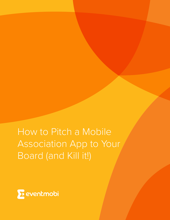How to Pitch a Mobile Association App to Your Board (and Kill it!)

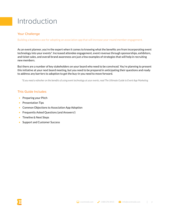# Introduction

## Your Challenge

Building a business case for adopting an association app that will increase year-round member engagement.

As an event planner, you're the expert when it comes to knowing what the benefits are from incorporating event technology into your events\*. Increased attendee engagement, event revenue through sponsorships, exhibitors, and ticket sales, and overall brand awareness are just a few examples of strategies that will help in recruiting new members.

But there are a number of key stakeholders on your board who need to be convinced. You're planning to present this initiative at your next board meeting, but you need to be prepared in anticipating their questions and ready to address any barriers to adoption to get the buy-in you need to move forward.

*\*If you need a refresher on the benefits of using event technology at your events, read The Ultimate Guide to Event App Marketing*

## This Guide Includes

- Preparing your Pitch
- Presentation Tips
- Common Objections to Association App Adoption
- Frequently Asked Questions (and Answers!)
- **Timeline & Next Steps**
- Support and Customer Success

2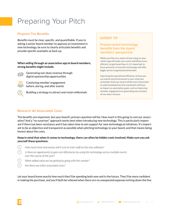# Preparing Your Pitch

### Pinpoint The Benefits

Benefits must be clear, specific, and quantifiable. If you're asking a senior board member to approve an investment in new technology, be sure to clearly articulate benefits and provide specific examples as back up.

### **When selling through an association app to board members, strong benefits might include:**



Generating non-dues revenue through digital sponsorship opportunities

Catalyzing member engagement before, during, and after events



Building a strategy to attract and retain millennials

# EXPERT TIP

## Present event technology benefits from the board members' perspective

While you'll be very aware of how using an association app will make your event workflows more efficient, to gain board buy-in, it's important to focus primarily on how this technology will offer bigger picture organizational benefits.

Improving the operational efficiency of how you run events may be foremost in your mind, but remember that your board will be more interested in understanding how this investment will have an impact on association goals, such as improving member engagement or generating new streams of non-dues revenue.

## Research All Associated Costs

The benefits are important, but your board's primary question will be: How much is this going to cost our association? And a "no surprises" approach works best when introducing new technology. This is particularly important if there has been resistance and it has taken time to win support for new technological initiatives. It's important to be as objective and transparent as possible when pitching technology to your board, and that means being honest about the costs.

### **Keep in mind that when it comes to technology, there can often be hidden costs involved. Make sure you ask yourself these questions:**

- ? *How much time and money will it cost to train staff on the new software?*
- ? *Is there an opportunity to gain cost efficiencies by using this technology across multiple events over the course of the year?*
- ? *What added value are we getting by going with this vendor?*
	- ? *Are there any other associated costs?*

Let your board know exactly how much they'll be spending both now and in the future. They'll be more confident in making the purchase, and you'll both be relieved when there are no unexpected expenses lurking down the line.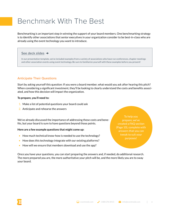# Benchmark With The Best

Benchmarking is an important step in winning the support of your board members. One benchmarking strategy is to identify other associations that senior executives in your organization consider to be best-in-class who are already using the event technology you want to introduce.

### See deck slides  $\rightarrow$

In our presentation template, we've included examples from a variety of associations who have run conferences, chapter meetings and other association events using event technology. Be sure to familiarize yourself with these examples before you present!

# Anticipate Their Questions

Start by asking yourself this question: If you were a board member, what would you ask after hearing this pitch? When considering a significant investment, they'll be looking to clearly understand the costs and benefits associated, and how this decision will impact the organization.

#### **To prepare, you'll need to:**

- 1. Make a list of potential questions your board could ask
- 2. Anticipate and rehearse the answers

We've already discussed the importance of addressing these costs and benefits, but your board is sure to have questions beyond those points.

#### **Here are a few example questions that might come up:**

- How much technical know-how is needed to use the technology?
- How does this technology integrate with our existing platforms?
- How will we ensure that members download and use the app?

Once you have your questions, you can start preparing the answers and, if needed, do additional research. The more prepared you are, the more authoritative your pitch will be, and the more likely you are to sway your board.

To help you prepare, we've created a FAQ section (Page 10), complete with answers that you can tweak to suit your purposes!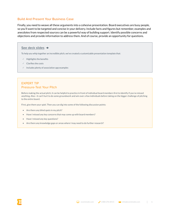## Build And Present Your Business Case

Finally, you need to weave all these arguments into a cohesive presentation. Board executives are busy people, so you'll want to be targeted and concise in your delivery. Include facts and figures but remember, examples and anecdotes from respected sources can be a powerful way of building support. Identify possible concerns and objections and provide information to address them. And of course, provide an opportunity for questions.

#### See deck slides →

To help you whip together an incredible pitch, we've created a customizable presentation template that:

- ✓ Highlights the benefits
- ✓ Clarifies the costs
- ✓ Includes plenty of association app examples

### EXPERT TIP Pressure-Test Your Pitch

Before making the actual pitch, it can be helpful to practice in front of individual board members first to identify if you've missed anything. Also—it can't hurt to do some groundwork and win over a few individuals before taking on the bigger challenge of pitching to the entire board.

First, give them your spiel. Then you can dig into some of the following discussion points:

- Are there any blind spots in my pitch?
- Have I missed any key concerns that may come up with board members?
- Have I missed any key questions?
- Are there any knowledge gaps or areas where I may need to do further research?

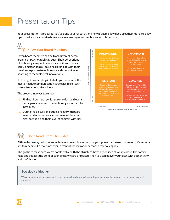# Presentation Tips

Your presentation is prepared, you've done your research, and now it's game day (deep breaths!). Here are a few tips to make sure you drive home your key messages and get buy-in for this decision.

#### $\bigcirc$  $\overline{\Psi}$ Know Your Board Members

Often board members can be from different demographic or psychographic groups. Their perceptions of technology may not be in sync and it's not necessarily a matter of age. It also has lots to do with their previous exposure to technology and comfort level in adapting to technological innovations.

To the right is a simple grid to help you determine the most effective communication strategies to sell technology to senior stakeholders.

The process involves two steps:

- 1. Find out how much senior stakeholders and event participants have with the technology you want to introduce.
- 2. During the discussion period, engage with board members based on your assessment of their technical aptitude, and their level of comfort with risk.





# Don't Read From The Slides

Although you may not have enough time to invest in memorizing your presentation word-for-word, it's important to rehearse it a few times over in front of the mirror or perhaps a few colleagues.

The goal is to make sure you're comfortable with the structure, have a good idea of what slide will be coming next, and get past the point of sounding awkward or recited. Then you can deliver your pitch with authenticity and confidence.

# See deck slides →

We've included speaking notes which you can tweak and summarize to suit your purposes, but we don't recommend reading it verbatim!

eventmobi.com  $\bigcup$  1888 296 8415  $\bigcup$  info@eventmobi.com

6

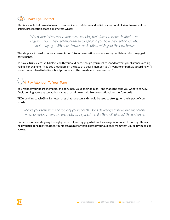# Make Eye Contact

This is a simple but powerful way to communicate confidence and belief in your point of view. In a recent Inc. article, presentation coach Sims Wyeth wrote:

*When your listeners see your eyes scanning their faces, they feel invited to engage with you. They feel encouraged to signal to you how they feel about what you're saying—with nods, frowns, or skeptical raisings of their eyebrows.*

This simple act transforms your presentation into a conversation, and converts your listeners into engaged participants.

To have a truly successful dialogue with your audience, though, you must respond to what your listeners are signaling. For example, if you see skepticism on the face of a board member, you'll want to empathize accordingly: "I know it seems hard to believe, but I promise you, the investment makes sense…"

# )) Pay Attention To Your Tone

You respect your board members, and genuinely value their opinion—and that's the tone you want to convey. Avoid coming across as too authoritative or as a know-it-all. Be conversational and don't force it.

TED speaking coach Gina Barnett shares that tone can and should be used to strengthen the impact of your words:

*Merge your tone with the topic of your speech. Don't deliver great news in a monotone voice or serious news too excitedly, as disjunctions like that will distract the audience.*

Barnett recommends going through your script and tagging what each message is intended to convey. This can help you use tone to strengthen your message rather than distract your audience from what you're trying to get across.

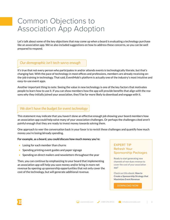# Common Objections to Association App Adoption

Let's talk about some of the key objections that may come up when a board is evaluating a technology purchase like an association app. We've also included suggestions on how to address these concerns, so you can be well prepared to respond.

# *Our demographic isn't tech-savvy enough*

It's true that not every person who participates in and/or attends events is technologically literate, but that's changing fast. With the pace of technology in most offices and professions, members are already receiving onthe-job training in technology. That said, EventMobi's platform is actually one of the industry's most intuitive and easy-to-use event apps.

Another important thing to note: Seeing the value in new technology is one of the key factors that motivates people to learn how to use it. If you can show members how the app will provide benefits that align with the reasons why they initially joined your association, they'll be far more likely to download and engage with it.

# *We don't have the budget for event technology*

This statement may indicate that you haven't done an effective enough job showing your board members how an association app could help solve many of your association challenges. Or perhaps the challenges cited aren't painful enough that they are ready to invest money towards solving them.

One approach to veer the conversation back in your favor is to revisit these challenges and quantify how much money you're losing/already spending.

### **For example, as a board, you could discuss how much money you're:**

- Losing for each member than churns
- Spending printing event guides and paper signage
- Spending on direct mailers and newsletters throughout the year

Then, you can continue by emphasizing to your board that implementing an association app will help you save money and/or bring in more net revenue by opening up sponsorship opportunities that not only cover the cost of the technology, but will generate additional revenue.

# EXPERT TIP Refresh Your Sponsorship Packages

Ready to start generating new channels of non-dues revenue to cover the cost of your association app?

Check out this ebook: **How to Create a Sponsorship Strategy that Maximizes Event Revenue**

8

DOWNLOAD NOW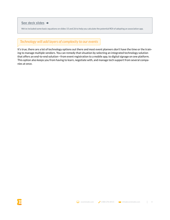### See deck slides →

We've included some basic equations on slides 15 and 26 to help you calculate the potential ROI of adopting an association app.

# *Technology will add layers of complexity to our events*

It's true, there are a lot of technology options out there and most event planners don't have the time or the training to manage multiple vendors. You can remedy that situation by selecting an integrated technology solution that offers an end-to-end solution—from event registration to a mobile app, to digital signage on one platform. This option also keeps you from having to learn, negotiate with, and manage tech support from several companies at once.

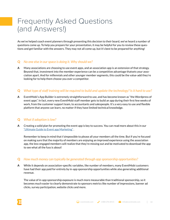# Frequently Asked Questions (and Answers!)

As we've helped coach event planners through presenting this decision to their board, we've heard a number of questions come up. To help you prepare for your presentation, it may be helpful for you to review these questions and get familiar with the answers. They may not all come up, but it's best to be prepared for anything!

## **Q** *No one else in our space is doing it. Why should we?*

**A** Many associations are choosing to use event apps, and an association app is an extension of that strategy. Beyond that, investment into the member experience can be a competitive advantage thatsets your association apart. And for millennials and other younger member segments, this could be the value-add they're looking for to help them choose you over a competitor.

# **Q** *What type of staff training will be required to build and update the technology? Is it hard to use?*

**A** EventMobi's App Builder is extremely straightforward to use, and has become known as "the Wordpress of event apps". In fact, every new EventMobi staff member gets to build an app during their first few weeks of work, from the customer support team, to accountants and salespeople. It's a very easy to use and flexible platform that anyone can learn, no matter if they have limited technical knowledge.

## **Q** *What if adoption is low?*

**A** Creating a solid plan for promoting the event app is key to success. You can read more about this in our "Ultimate Guide to Event app Marketing" .

Remember to keep in mind that t'simpossible to please all your members all the time. But if you're focused on making sure that the majority of members are enjoying an improved experience using the association app, the less-engaged members will realize that they're missing out and be motivated to download the app to see what all the fuss is about!

# **Q** *How much money can typically be generated through app sponsorship opportunities?*

**A** While it depends on association-specific variables, like number of members, many EventMobi customers have had their app paid for entirely by in-app sponsorship opportunities while also generating additional revenue.

The value of in-app sponsorship exposure is much more measurable than traditional sponsorship, so it becomes much easier to clearly demonstrate to sponsors metrics like number of impressions, banner ad clicks, survey participation, website clicks and more.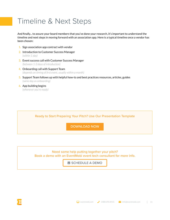# Timeline & Next Steps

And finally... to assure your board members that you've done your research, it's important to understand the timeline and next steps in moving forward with an association app. Here is a typical timeline once a vendor has been chosen:

- 1. Sign association app contract with vendor
- 2. Introduction to Customer Success Manager *(within 1 day)*
- 3. Event success call with Customer Success Manager *(between 1-3 days of introduction)*
- 4. Onboarding call with Support Team *(depends on timing of first event, usually within a month)*
- 5. Support Team follows up with helpful how-to and best practices resources, articles, guides *(same day as onboarding)*
- 6. App building begins *(whenever you're ready)*

Ready to Start Preparing Your Pitch? Use Our Presentation Template

DOWNLOAD NOW

Need some help putting together your pitch? Book a demo with an EventMobi event tech consultant for more info.

**SCHEDULE A DEMO** 

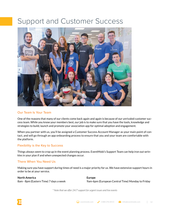# Support and Customer Success



## Our Team Is Your Team

One of the reasons that many of our clients come back again and again is because of our unrivaled customer success team. While you know your members best, our job is to make sure that you have the tools, knowledge and strategies to build, launch and promote your association app for optimal adoption and engagement.

When you partner with us, you'll be assigned a Customer Success Account Manager as your main point of contact, and will go through an app onboarding process to ensure that you and your team are comfortable with the platform.

## Flexibility is the Key to Success

Things always seem to crop up in the event planning process. EventMobi's Support Team can help iron out wrinkles in your plan if and when unexpected changes occur.

### There When You Need Us

Making sure you have support during times of need is a major priority for us. We have extensive support hours in order to be at your service.

**North America** 8am - 8pm (Eastern Time) 7 days a week **Europe** 9am-6pm (European Central Time) Monday to Friday

*\* Note that we offer 24/7 support for urgent issues and live events*